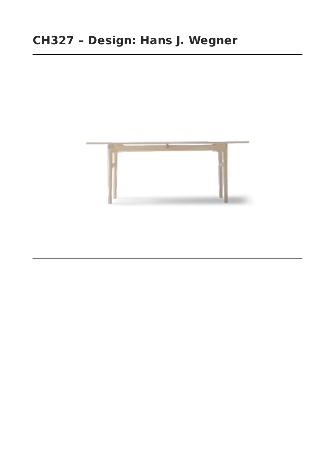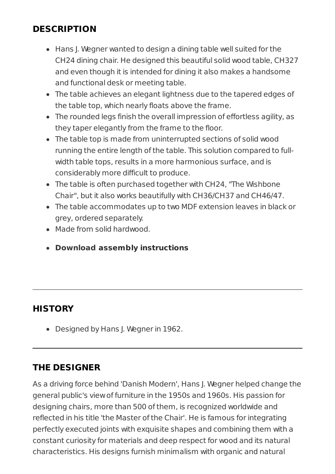## **DESCRIPTION**

- Hans J. Wegner wanted to design a dining table well suited for the CH24 dining chair. He designed this beautiful solid wood table, CH327 and even though it is intended for dining it also makes a handsome and functional desk or meeting table.
- The table achieves an elegant lightness due to the tapered edges of the table top, which nearly floats above the frame.
- The rounded legs finish the overall impression of effortless agility, as they taper elegantly from the frame to the floor.
- The table top is made from uninterrupted sections of solid wood running the entire length of the table. This solution compared to fullwidth table tops, results in a more harmonious surface, and is considerably more difficult to produce.
- The table is often purchased together with CH24, "The Wishbone Chair", but it also works beautifully with CH36/CH37 and CH46/47.
- The table accommodates up to two MDF extension leaves in black or grey, ordered separately.
- Made from solid hardwood.
- **Download assembly [instructions](https://www.carlhansen.com/media/463814/CH327.pdf)**

# **HISTORY**

• Designed by Hans J. Wegner in 1962.

# **THE DESIGNER**

As a driving force behind 'Danish Modern', Hans J. Wegner helped change the general public's viewof furniture in the 1950s and 1960s. His passion for designing chairs, more than 500 ofthem, is recognized worldwide and reflected in his title 'the Master ofthe Chair'. He is famous for integrating perfectly executed joints with exquisite shapes and combining them with a constant curiosity for materials and deep respect for wood and its natural characteristics. His designs furnish minimalism with organic and natural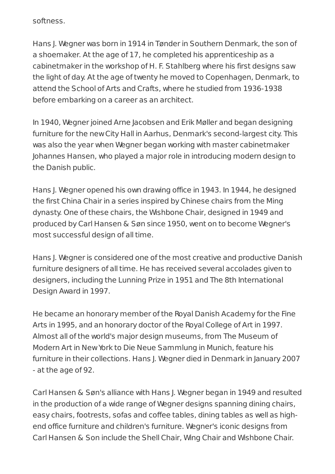softness.

Hans J. Wegner was born in 1914 in Tønder in Southern Denmark, the son of a shoemaker. At the age of 17, he completed his apprenticeship as a cabinetmaker in the workshop of H. F. Stahlberg where his first designs saw the light of day. At the age oftwenty he moved to Copenhagen, Denmark, to attend the School of Arts and Crafts, where he studied from 1936-1938 before embarking on a career as an architect.

In 1940, Wegner joined Arne Jacobsen and Erik Møller and began designing furniture for the newCity Hall in Aarhus, Denmark's second-largest city. This was also the year when Wegner began working with master cabinetmaker Johannes Hansen, who played a major role in introducing modern design to the Danish public.

Hans J. Wegner opened his own drawing office in 1943. In 1944, he designed the first China Chair in a series inspired by Chinese chairs from the Ming dynasty. One ofthese chairs, the Wishbone Chair, designed in 1949 and produced by Carl Hansen & Søn since 1950, went on to become Wegner's most successful design of all time.

Hans J. Wegner is considered one of the most creative and productive Danish furniture designers of all time. He has received several accolades given to designers, including the Lunning Prize in 1951 and The 8th International Design Award in 1997.

He became an honorary member ofthe Royal Danish Academy for the Fine Arts in 1995, and an honorary doctor ofthe Royal College of Art in 1997. Almost all ofthe world's major design museums, from The Museum of Modern Art in New York to Die Neue Sammlung in Munich, feature his furniture in their collections. Hans J. Wegner died in Denmark in January 2007 - at the age of 92.

Carl Hansen & Søn's alliance with Hans J. Wegner began in 1949 and resulted in the production of a wide range of Wegner designs spanning dining chairs, easy chairs, footrests, sofas and coffee tables, dining tables as well as highend office furniture and children's furniture. Wegner's iconic designs from Carl Hansen & Son include the Shell Chair, Wing Chair and Wishbone Chair.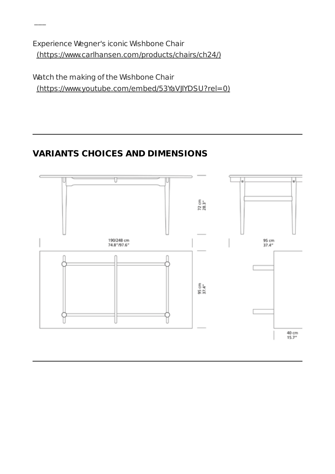Experience Wegner's iconic Wishbone Chair [\(https://www.carlhansen.com/products/chairs/ch24/\)](https://www.carlhansen.com/products/chairs/ch24/)

 $\overline{\phantom{a}}$ 

Watch the making of the Wishbone Chair [\(https://www.youtube.com/embed/53YaVJIYDSU?rel=0\)](https://www.youtube.com/embed/53YaVJIYDSU?rel=0)

## **VARIANTS CHOICES AND DIMENSIONS**

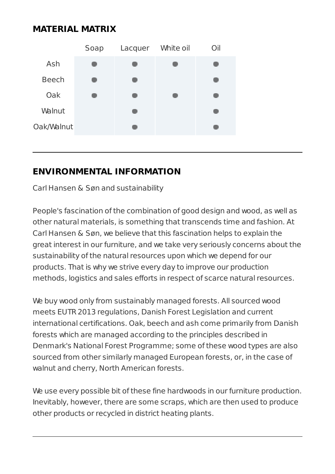## **MATERIAL MATRIX**



### **ENVIRONMENTAL INFORMATION**

Carl Hansen & Søn and sustainability

People's fascination of the combination of good design and wood, as well as other natural materials, is something that transcends time and fashion. At Carl Hansen & Søn, we believe that this fascination helps to explain the great interest in our furniture, and we take very seriously concerns about the sustainability of the natural resources upon which we depend for our products. That is why we strive every day to improve our production methods, logistics and sales efforts in respect of scarce natural resources.

We buy wood only from sustainably managed forests. All sourced wood meets EUTR2013 regulations, Danish Forest Legislation and current international certifications. Oak, beech and ash come primarily from Danish forests which are managed according to the principles described in Denmark's National Forest Programme; some of these wood types are also sourced from other similarly managed European forests, or, in the case of walnut and cherry, North American forests.

We use every possible bit of these fine hardwoods in our furniture production. Inevitably, however, there are some scraps, which are then used to produce other products or recycled in district heating plants.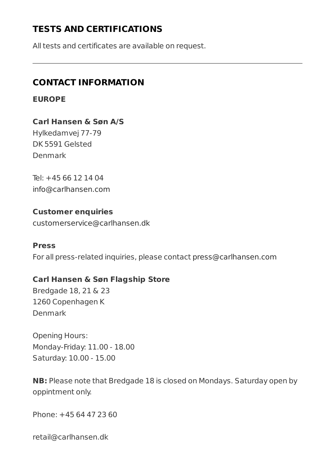## **TESTS AND CERTIFICATIONS**

All tests and certificates are available on request.

## **CONTACT INFORMATION**

**EUROPE**

**Carl Hansen & Søn A/S** Hylkedamvej 77-79 DK 5591 Gelsted Denmark

Tel: +45 66 12 14 04 [info@carlhansen.com](mailto:info@carlhansen.com)

**Customer enquiries** [customerservice@carlhansen.dk](mailto:customerservice@carlhansen.dk)

#### **Press**

For all press-related inquiries, please contact [press@carlhansen.com](mailto:press@carlhansen.com)

#### **Carl Hansen & Søn Flagship Store**

Bredgade 18, 21 & 23 1260 Copenhagen K Denmark

Opening Hours: Monday-Friday: 11.00 - 18.00 Saturday: 10.00 - 15.00

**NB:** Please note that Bredgade 18 is closed on Mondays. Saturday open by oppintment only.

Phone: +45 64 47 23 60

retail@carlhansen.dk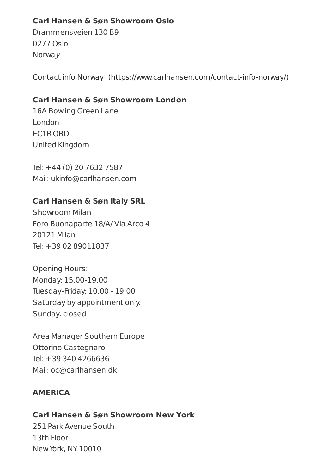#### **Carl Hansen & Søn Showroom Oslo**

Drammensveien 130 B9 0277 Oslo Norwa<sub>V</sub>

Contact info Norway [\(https://www.carlhansen.com/contact-info-norway/\)](https://www.carlhansen.com/contact-info-norway/)

#### **Carl Hansen & Søn Showroom London**

16A Bowling Green Lane London EC1R OBD United Kingdom

Tel: +44 (0) 20 7632 7587 Mail: ukinfo@carlhansen.com

### **Carl Hansen & Søn Italy SRL**

Showroom Milan Foro Buonaparte 18/A/ Via Arco 4 20121 Milan Tel: +39 02 89011837

Opening Hours: Monday: 15.00-19.00 Tuesday-Friday: 10.00 - 19.00 Saturday by appointment only. Sunday: closed

Area Manager Southern Europe Ottorino Castegnaro Tel: +39 340 4266636 Mail: oc@carlhansen.dk

### **AMERICA**

### **Carl Hansen & Søn Showroom New York**

251 Park Avenue South 13th Floor NewYork, NY 10010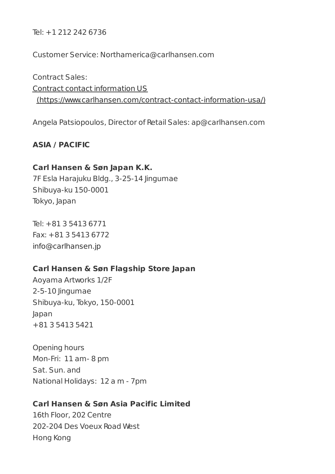Tel: +1 212 242 6736

Customer Service: Northamerica@carlhansen.com

Contract Sales: Contract contact information US [\(https://www.carlhansen.com/contract-contact-information-usa/\)](https://www.carlhansen.com/contract-contact-information-usa/)

Angela Patsiopoulos, Director of Retail Sales: ap@carlhansen.com

#### **ASIA / PACIFIC**

#### **Carl Hansen & Søn Japan K.K.**

7F Esla Harajuku Bldg., 3-25-14 Jingumae Shibuya-ku 150-0001 Tokyo, Japan

Tel: +81 3 5413 6771 Fax: +81 3 5413 6772 [info@carlhansen.jp](mailto:info@carlhansen.jp)

#### **Carl Hansen & Søn Flagship Store Japan**

Aoyama Artworks 1/2F 2-5-10 Jingumae Shibuya-ku, Tokyo, 150-0001 Japan +81 3 5413 5421

Opening hours Mon-Fri: 11 am- 8 pm Sat. Sun. and National Holidays: 12 a m - 7pm

#### **Carl Hansen & Søn Asia Pacific Limited**

16th Floor, 202 Centre 202-204 Des Voeux Road West Hong Kong